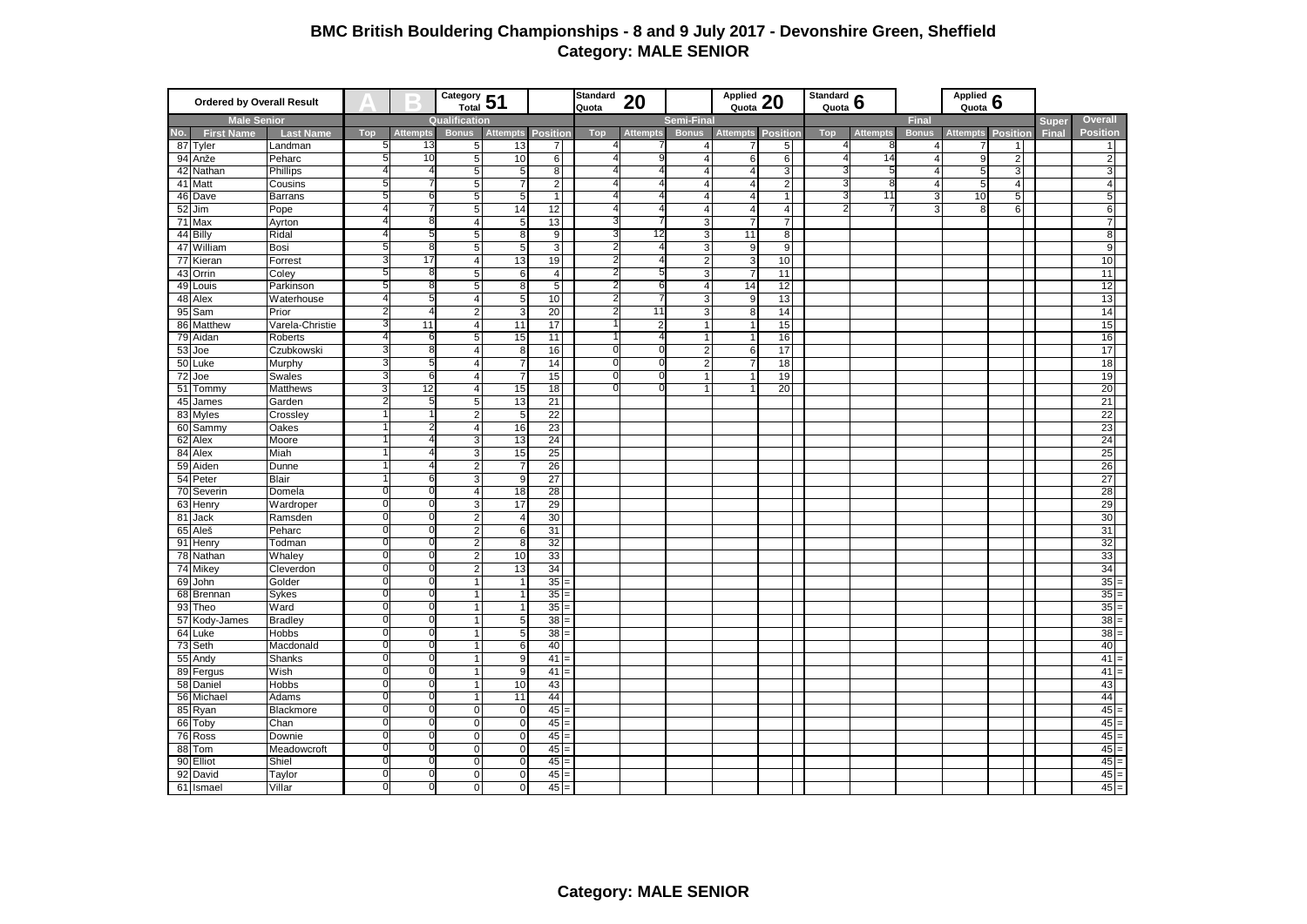## **BMC British Bouldering Championships - 8 and 9 July 2017 - Devonshire Green, Sheffield Category: MALE SENIOR**

| <b>Ordered by Overall Result</b> |                    |                      | Category 51<br>$\qquad \qquad \blacksquare$ |                 | Standard<br>Applied $20$<br>20<br>Quota |                         |                   | Standard $\frac{6}{3}$ |                   |                         | Applied $6$    |                 |     |                 |                |                 |                 |         |                  |
|----------------------------------|--------------------|----------------------|---------------------------------------------|-----------------|-----------------------------------------|-------------------------|-------------------|------------------------|-------------------|-------------------------|----------------|-----------------|-----|-----------------|----------------|-----------------|-----------------|---------|------------------|
| <b>Male Senior</b>               |                    |                      |                                             | Qualification   |                                         |                         |                   |                        | <b>Semi-Final</b> |                         |                |                 |     | <b>Final</b>    |                |                 | <b>Super</b>    | Overall |                  |
| No.                              | <b>First Name</b>  | <b>Last Name</b>     | Top                                         | <b>Attempts</b> | <b>Bonus</b>                            | <b>Attempts</b>         | Position          | <b>Top</b>             | <b>Attempts</b>   |                         | Bonus Attempts | <b>Position</b> | Top | <b>Attempts</b> | <b>Bonus</b>   | <b>Attempts</b> | <b>Position</b> | Final   | <b>Position</b>  |
|                                  | 87 Tyler           | Landman              | 5                                           | 13              | 5                                       | 13                      | $\overline{7}$    | 41                     |                   | $\overline{4}$          |                | 5 <sub>l</sub>  | 4   | 8               | 4 <sup>1</sup> |                 | 11              |         | 1                |
| 94                               | Anže               | Peharc               | 5                                           | 10              | 5                                       | 10                      | 6                 | 4                      |                   | $\overline{4}$          | 6              | 6 <sup>1</sup>  |     | 14              | $\overline{4}$ | 9               | $\overline{2}$  |         | $\overline{2}$   |
|                                  | 42 Nathan          | Phillips             |                                             |                 | 5                                       | 5                       | 8                 | Δ                      |                   | $\overline{4}$          | $\overline{4}$ | 3 <sup>1</sup>  |     |                 | $\overline{4}$ | 5               | د               |         | 3                |
|                                  | 41 Matt            | Cousins              | 5                                           |                 | 5                                       | $\overline{7}$          | $2\sqrt{2}$       | 4                      |                   | $\overline{4}$          | $\overline{4}$ | $\overline{2}$  |     | 8               | 4 <sup>1</sup> | 5               | $\overline{4}$  |         | $\overline{4}$   |
|                                  | 46 Dave            | Barrans              | 5                                           |                 | 5                                       | 5                       | $\overline{1}$    | 4                      |                   | $\overline{\mathbf{A}}$ | $\overline{4}$ | $\overline{1}$  |     | 11              | 3              | 10              | 5               |         | $5\overline{)}$  |
| 52                               | Jim                | Pope                 | Δ                                           |                 | 5                                       | 14                      | 12                | 4                      |                   | $\overline{4}$          | $\overline{4}$ | $\overline{4}$  |     |                 | $\overline{3}$ | 8               | 6               |         | 6                |
|                                  | 71 Max             | Ayrton               |                                             |                 | $\overline{4}$                          | $\overline{5}$          | 13                | 3                      |                   | ω                       | $\overline{7}$ | $\overline{7}$  |     |                 |                |                 |                 |         | $\overline{7}$   |
| 44                               | Billy              | Ridal                |                                             |                 | 5                                       | 8                       | $\overline{9}$    | 3                      | 12                | ω                       | 11             | $\overline{8}$  |     |                 |                |                 |                 |         | 8                |
|                                  | 47 William         | Bosi                 | 5                                           |                 | 5                                       | 5                       | 3 <sup>1</sup>    | 2                      |                   | 3                       | 9              | 9               |     |                 |                |                 |                 |         | 9                |
|                                  | 77 Kieran          | Forrest              | 3                                           | 17              | $\overline{4}$                          | 13                      | 19                | 21                     |                   | $\overline{2}$          | 3              | 10              |     |                 |                |                 |                 |         | 10               |
|                                  | 43 Orrin           | Coley                | 5                                           |                 | 5                                       | 6                       | $\overline{4}$    | 21                     | 5                 | 3                       | 7              | 11              |     |                 |                |                 |                 |         | 11               |
|                                  | 49 Louis           | Parkinson            | 5                                           |                 | 5                                       | 8                       | 5 <sub>5</sub>    | 21                     | 6                 | $\overline{4}$          | 14             | 12              |     |                 |                |                 |                 |         | 12               |
| 48                               | Alex               | Waterhouse           | $\overline{4}$                              |                 | $\overline{4}$                          | $\overline{5}$          | 10                | 2                      |                   | 3                       | 9              | 13              |     |                 |                |                 |                 |         | 13               |
| 95                               | Sam                | Prior                |                                             |                 | $\overline{2}$                          | 3                       | 20                | 2                      | 11                | 3                       | 8              | 14              |     |                 |                |                 |                 |         | 14               |
|                                  | 86 Matthew         | Varela-Christie      | 3                                           | 11              | $\overline{4}$                          | 11                      | 17                |                        | 2                 | $\mathbf{1}$            | -1             | 15              |     |                 |                |                 |                 |         | 15               |
|                                  | 79 Aidan           | Roberts              |                                             |                 | $\overline{5}$                          | 15                      | 11                |                        |                   | $\mathbf{1}$            | -1             | 16              |     |                 |                |                 |                 |         | 16               |
| 53                               | Joe                | Czubkowski           |                                             |                 | $\overline{4}$                          | 8                       | 16                | U                      |                   | $\overline{2}$          | 6              | 17              |     |                 |                |                 |                 |         | 17               |
|                                  | 50 Luke            | Murphy               |                                             |                 | $\overline{4}$                          | $\overline{7}$          | 14                | $\Omega$               | O                 | $\overline{2}$          | 7              | 18              |     |                 |                |                 |                 |         | 18               |
| 72                               | Joe                | <b>Swales</b>        |                                             |                 | $\overline{4}$                          | 7                       | 15                | 0                      |                   | $\mathbf{1}$            |                | 19              |     |                 |                |                 |                 |         | 19               |
|                                  | 51 Tommy           | Matthews             | 3                                           | 12              | $\overline{4}$                          | 15                      | 18                | U                      |                   | 1                       |                | 20              |     |                 |                |                 |                 |         | 20               |
| 45                               | James              | Garden               |                                             |                 | 5                                       | 13                      | 21                |                        |                   |                         |                |                 |     |                 |                |                 |                 |         | 21               |
|                                  | 83 Myles           | Crossley             |                                             |                 | $\overline{2}$                          | 5                       | 22                |                        |                   |                         |                |                 |     |                 |                |                 |                 |         | 22               |
|                                  | 60 Sammy           | Oakes                |                                             |                 | $\overline{4}$                          | 16                      | 23                |                        |                   |                         |                |                 |     |                 |                |                 |                 |         | 23               |
| 62                               | Alex               | Moore                |                                             |                 | 3                                       | 13                      | 24                |                        |                   |                         |                |                 |     |                 |                |                 |                 |         | 24               |
|                                  | 84 Alex            | Miah                 |                                             |                 | 3                                       | 15                      | 25                |                        |                   |                         |                |                 |     |                 |                |                 |                 |         | 25               |
|                                  | 59 Aiden           | Dunne                |                                             |                 | $\overline{2}$                          | 7                       | 26                |                        |                   |                         |                |                 |     |                 |                |                 |                 |         | 26               |
| 54                               | Peter              | Blair                |                                             |                 | $\overline{3}$                          | 9                       | $\overline{27}$   |                        |                   |                         |                |                 |     |                 |                |                 |                 |         | 27               |
|                                  | 70 Severin         | Domela               | $\Omega$                                    |                 | $\overline{4}$                          | 18                      | 28                |                        |                   |                         |                |                 |     |                 |                |                 |                 |         | 28               |
|                                  | 63 Henry           | Wardroper            | $\Omega$                                    |                 | 3                                       | 17                      | 29                |                        |                   |                         |                |                 |     |                 |                |                 |                 |         | 29               |
| 81                               | Jack               | Ramsden              | $\Omega$                                    |                 | $\overline{2}$                          | $\overline{4}$          | 30                |                        |                   |                         |                |                 |     |                 |                |                 |                 |         | 30               |
|                                  | 65 Aleš            | Peharc               | $\Omega$                                    |                 | $\overline{2}$                          | 6                       | 31                |                        |                   |                         |                |                 |     |                 |                |                 |                 |         | 31               |
|                                  | 91 Henry           | Todman               | $\overline{0}$                              |                 | $\overline{2}$                          | 8                       | 32                |                        |                   |                         |                |                 |     |                 |                |                 |                 |         | 32               |
| 78                               | Nathan             | Whaley               | $\mathbf 0$                                 |                 | $\overline{2}$                          | 10                      | 33                |                        |                   |                         |                |                 |     |                 |                |                 |                 |         | 33               |
|                                  | 74 Mikey           | Cleverdon            | $\overline{0}$                              |                 | $\overline{2}$                          | 13                      | 34                |                        |                   |                         |                |                 |     |                 |                |                 |                 |         | 34               |
| 69                               | John               | Golder               | O                                           |                 | $\overline{1}$                          |                         | 35                |                        |                   |                         |                |                 |     |                 |                |                 |                 |         | $35$ :           |
|                                  | 68 Brennan         | Sykes                | $\mathbf 0$                                 |                 | $\overline{1}$                          |                         | 35                |                        |                   |                         |                |                 |     |                 |                |                 |                 |         | $35 =$           |
|                                  | 93 Theo            | Ward                 | $\Omega$                                    |                 | $\mathbf{1}$                            |                         | $35 =$            |                        |                   |                         |                |                 |     |                 |                |                 |                 |         | $\sqrt{35}$ =    |
|                                  | 57 Kody-James      | <b>Bradley</b>       | O                                           |                 | $\overline{1}$                          | 5                       | $\overline{38}$ = |                        |                   |                         |                |                 |     |                 |                |                 |                 |         | $38 =$           |
|                                  | 64 Luke            | Hobbs                | $\overline{0}$<br>$\overline{0}$            |                 | $\mathbf{1}$                            | 5                       | $38 =$            |                        |                   |                         |                |                 |     |                 |                |                 |                 |         | $38 =$           |
|                                  | 73 Seth            | Macdonald            |                                             |                 | $\overline{1}$                          | 6                       | 40                |                        |                   |                         |                |                 |     |                 |                |                 |                 |         | 40               |
| 55                               | Andy               | Shanks               | $\mathbf 0$<br>$\Omega$                     |                 | $\overline{1}$                          | 9                       | 41                |                        |                   |                         |                |                 |     |                 |                |                 |                 |         | $41 =$           |
|                                  | 89 Fergus          | Wish                 |                                             |                 | $\overline{1}$                          | 9                       | 41                |                        |                   |                         |                |                 |     |                 |                |                 |                 |         | $41$ :           |
|                                  | 58 Daniel          | Hobbs                | $\overline{0}$                              |                 | $\overline{1}$                          | 10                      | 43                |                        |                   |                         |                |                 |     |                 |                |                 |                 |         | 43               |
| 56                               | Michael            | Adams                | 0<br>$\overline{0}$                         |                 | $\mathbf{1}$                            | 11                      | 44                |                        |                   |                         |                |                 |     |                 |                |                 |                 |         | 44               |
|                                  | 85 Ryan            | Blackmore            | $\overline{0}$                              |                 | $\overline{0}$                          | $\mathbf 0$             | $45 =$            |                        |                   |                         |                |                 |     |                 |                |                 |                 |         | $45 =$           |
| 66                               | Toby               | Chan                 | $\mathbf 0$                                 |                 | $\overline{0}$                          | $\mathbf 0$             | $45 =$            |                        |                   |                         |                |                 |     |                 |                |                 |                 |         | $45 =$           |
| 76                               | Ross               | Downie               | $\overline{0}$                              | O               | $\overline{0}$<br>$\mathbf{0}$          | $\mathbf 0$<br>$\Omega$ | $45 =$            |                        |                   |                         |                |                 |     |                 |                |                 |                 |         | $45 =$<br>$45 =$ |
| 88                               | Tom<br>90 Elliot   | Meadowcroft<br>Shiel | O                                           |                 | $\mathbf 0$                             | $\Omega$                | $45 =$<br>$45 =$  |                        |                   |                         |                |                 |     |                 |                |                 |                 |         | $45 -$           |
|                                  |                    |                      | $\Omega$                                    |                 | $\overline{0}$                          | $\Omega$                | $45 =$            |                        |                   |                         |                |                 |     |                 |                |                 |                 |         | $45 =$           |
| 92                               | David<br>61 Ismael | Taylor<br>Villar     | $\Omega$                                    |                 | $\mathbf{0}$                            | $\mathbf 0$             | $45 =$            |                        |                   |                         |                |                 |     |                 |                |                 |                 |         | $45 =$           |
|                                  |                    |                      |                                             |                 |                                         |                         |                   |                        |                   |                         |                |                 |     |                 |                |                 |                 |         |                  |